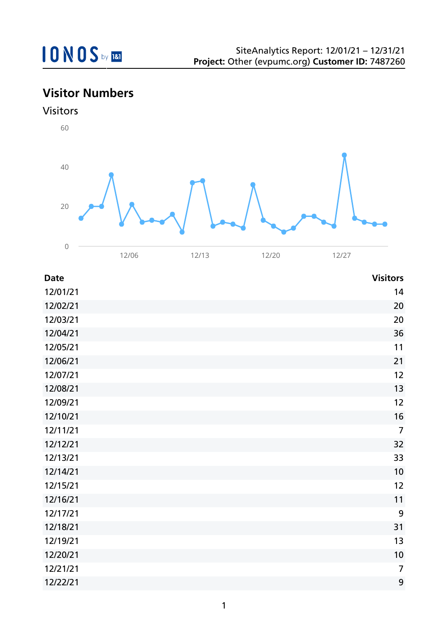## **Visitor Numbers**





| <b>Date</b> | <b>Visitors</b> |
|-------------|-----------------|
| 12/01/21    | 14              |
| 12/02/21    | 20              |
| 12/03/21    | 20              |
| 12/04/21    | 36              |
| 12/05/21    | 11              |
| 12/06/21    | 21              |
| 12/07/21    | 12              |
| 12/08/21    | 13              |
| 12/09/21    | 12              |
| 12/10/21    | 16              |
| 12/11/21    | $\overline{7}$  |
| 12/12/21    | 32              |
| 12/13/21    | 33              |
| 12/14/21    | 10              |
| 12/15/21    | 12              |
| 12/16/21    | 11              |
| 12/17/21    | 9               |
| 12/18/21    | 31              |
| 12/19/21    | 13              |
| 12/20/21    | 10              |
| 12/21/21    | $\overline{7}$  |
| 12/22/21    | 9               |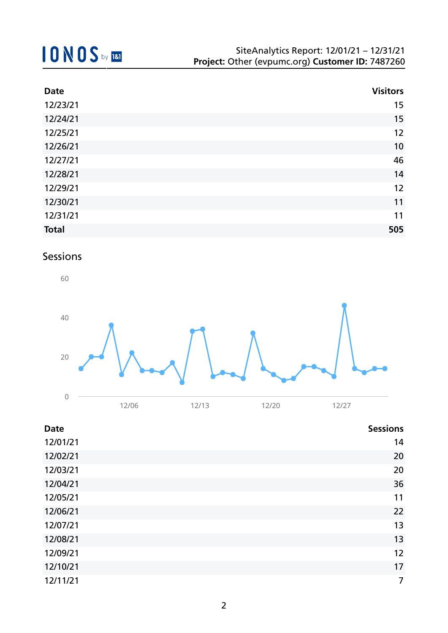| <b>Date</b>  | <b>Visitors</b> |
|--------------|-----------------|
| 12/23/21     | 15              |
| 12/24/21     | 15              |
| 12/25/21     | 12              |
| 12/26/21     | 10              |
| 12/27/21     | 46              |
| 12/28/21     | 14              |
| 12/29/21     | 12              |
| 12/30/21     | 11              |
| 12/31/21     | 11              |
| <b>Total</b> | 505             |

## Sessions



| <b>Date</b> | <b>Sessions</b> |
|-------------|-----------------|
| 12/01/21    | 14              |
| 12/02/21    | 20              |
| 12/03/21    | 20              |
| 12/04/21    | 36              |
| 12/05/21    | 11              |
| 12/06/21    | 22              |
| 12/07/21    | 13              |
| 12/08/21    | 13              |
| 12/09/21    | 12              |
| 12/10/21    | 17              |
| 12/11/21    | 7               |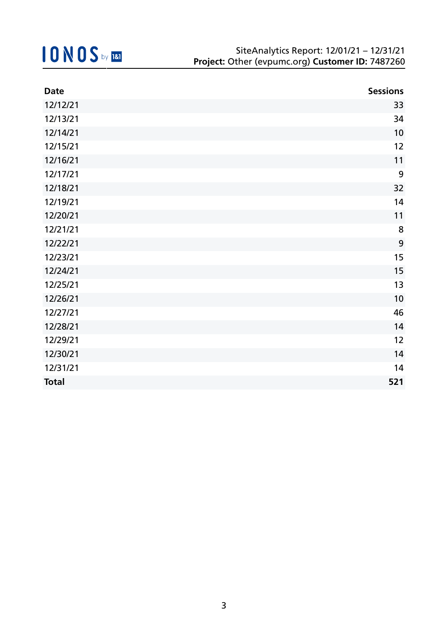| <b>Date</b>  | <b>Sessions</b> |
|--------------|-----------------|
| 12/12/21     | 33              |
| 12/13/21     | 34              |
| 12/14/21     | 10              |
| 12/15/21     | 12              |
| 12/16/21     | 11              |
| 12/17/21     | 9               |
| 12/18/21     | 32              |
| 12/19/21     | 14              |
| 12/20/21     | 11              |
| 12/21/21     | 8               |
| 12/22/21     | 9               |
| 12/23/21     | 15              |
| 12/24/21     | 15              |
| 12/25/21     | 13              |
| 12/26/21     | 10              |
| 12/27/21     | 46              |
| 12/28/21     | 14              |
| 12/29/21     | 12              |
| 12/30/21     | 14              |
| 12/31/21     | 14              |
| <b>Total</b> | 521             |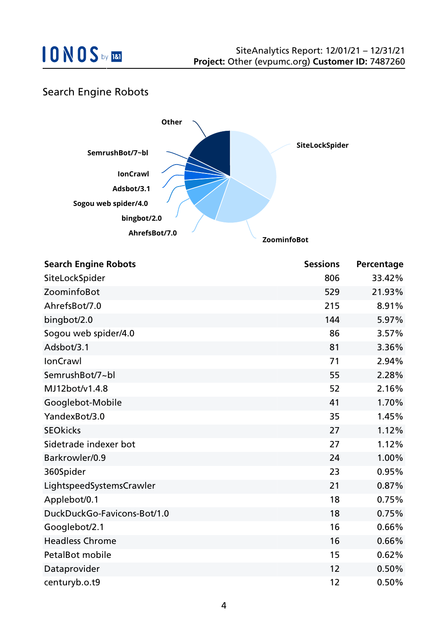

### Search Engine Robots



| <b>Search Engine Robots</b> | <b>Sessions</b> | Percentage |
|-----------------------------|-----------------|------------|
| SiteLockSpider              | 806             | 33.42%     |
| ZoominfoBot                 | 529             | 21.93%     |
| AhrefsBot/7.0               | 215             | 8.91%      |
| bingbot/2.0                 | 144             | 5.97%      |
| Sogou web spider/4.0        | 86              | 3.57%      |
| Adsbot/3.1                  | 81              | 3.36%      |
| <b>IonCrawl</b>             | 71              | 2.94%      |
| SemrushBot/7~bl             | 55              | 2.28%      |
| MJ12bot/v1.4.8              | 52              | 2.16%      |
| Googlebot-Mobile            | 41              | 1.70%      |
| YandexBot/3.0               | 35              | 1.45%      |
| <b>SEOkicks</b>             | 27              | 1.12%      |
| Sidetrade indexer bot       | 27              | 1.12%      |
| Barkrowler/0.9              | 24              | 1.00%      |
| 360Spider                   | 23              | 0.95%      |
| LightspeedSystemsCrawler    | 21              | 0.87%      |
| Applebot/0.1                | 18              | 0.75%      |
| DuckDuckGo-Favicons-Bot/1.0 | 18              | 0.75%      |
| Googlebot/2.1               | 16              | 0.66%      |
| <b>Headless Chrome</b>      | 16              | 0.66%      |
| PetalBot mobile             | 15              | 0.62%      |
| Dataprovider                | 12              | 0.50%      |
| centuryb.o.t9               | 12              | 0.50%      |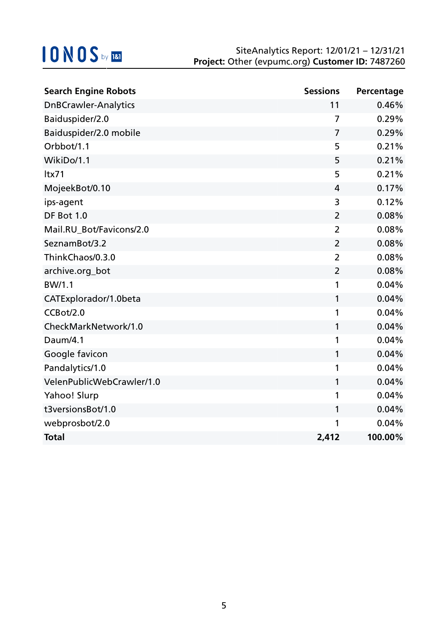| <b>Search Engine Robots</b> | <b>Sessions</b> | Percentage |
|-----------------------------|-----------------|------------|
| <b>DnBCrawler-Analytics</b> | 11              | 0.46%      |
| Baiduspider/2.0             | 7               | 0.29%      |
| Baiduspider/2.0 mobile      | $\overline{7}$  | 0.29%      |
| Orbbot/1.1                  | 5               | 0.21%      |
| WikiDo/1.1                  | 5               | 0.21%      |
| ltx71                       | 5               | 0.21%      |
| MojeekBot/0.10              | 4               | 0.17%      |
| ips-agent                   | 3               | 0.12%      |
| DF Bot 1.0                  | $\overline{2}$  | 0.08%      |
| Mail.RU_Bot/Favicons/2.0    | $\overline{2}$  | 0.08%      |
| SeznamBot/3.2               | $\overline{2}$  | 0.08%      |
| ThinkChaos/0.3.0            | $\overline{2}$  | 0.08%      |
| archive.org_bot             | $\overline{2}$  | 0.08%      |
| BW/1.1                      | 1               | 0.04%      |
| CATExplorador/1.0beta       | 1               | 0.04%      |
| CCBot/2.0                   | 1               | 0.04%      |
| CheckMarkNetwork/1.0        | 1               | 0.04%      |
| Daum/4.1                    | 1               | 0.04%      |
| Google favicon              | 1               | 0.04%      |
| Pandalytics/1.0             | 1               | 0.04%      |
| VelenPublicWebCrawler/1.0   | 1               | 0.04%      |
| Yahoo! Slurp                | 1               | 0.04%      |
| t3versionsBot/1.0           | 1               | 0.04%      |
| webprosbot/2.0              | 1               | 0.04%      |
| <b>Total</b>                | 2,412           | 100.00%    |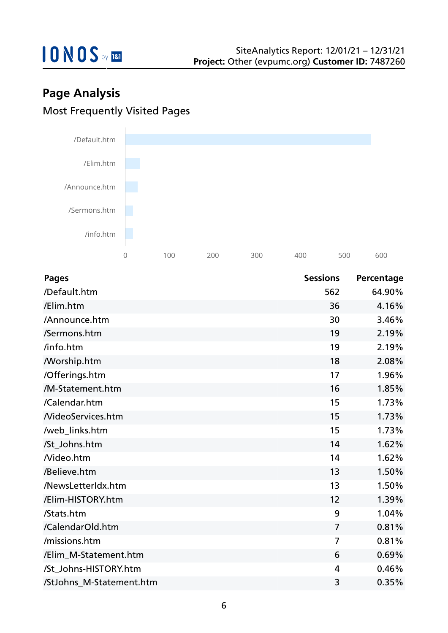

## **Page Analysis** Most Frequently Visited Pages



| <b>Pages</b>             | <b>Sessions</b> | Percentage |
|--------------------------|-----------------|------------|
| /Default.htm             | 562             | 64.90%     |
| /Elim.htm                | 36              | 4.16%      |
| /Announce.htm            | 30              | 3.46%      |
| /Sermons.htm             | 19              | 2.19%      |
| /info.htm                | 19              | 2.19%      |
| <b>Morship.htm</b>       | 18              | 2.08%      |
| /Offerings.htm           | 17              | 1.96%      |
| /M-Statement.htm         | 16              | 1.85%      |
| /Calendar.htm            | 15              | 1.73%      |
| <b>NideoServices.htm</b> | 15              | 1.73%      |
| /web_links.htm           | 15              | 1.73%      |
| /St_Johns.htm            | 14              | 1.62%      |
| Nideo.htm                | 14              | 1.62%      |
| /Believe.htm             | 13              | 1.50%      |
| /NewsLetterIdx.htm       | 13              | 1.50%      |
| /Elim-HISTORY.htm        | 12              | 1.39%      |
| /Stats.htm               | 9               | 1.04%      |
| /CalendarOld.htm         | $\overline{7}$  | 0.81%      |
| /missions.htm            | $\overline{7}$  | 0.81%      |
| /Elim_M-Statement.htm    | 6               | 0.69%      |
| /St Johns-HISTORY.htm    | $\overline{4}$  | 0.46%      |
| /StJohns_M-Statement.htm | 3               | 0.35%      |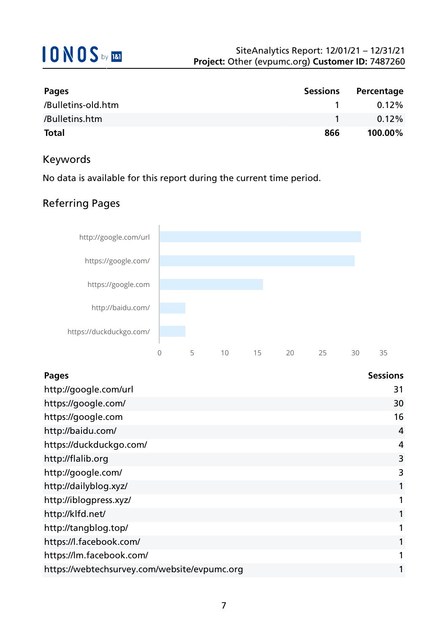| Pages              | <b>Sessions</b> | Percentage |
|--------------------|-----------------|------------|
| /Bulletins-old.htm |                 | 0.12%      |
| /Bulletins.htm     |                 | $0.12\%$   |
| <b>Total</b>       | 866             | 100.00%    |

### Keywords

No data is available for this report during the current time period.

### Referring Pages



| <b>Pages</b>                                 | <b>Sessions</b> |
|----------------------------------------------|-----------------|
| http://google.com/url                        | 31              |
| https://google.com/                          | 30              |
| https://google.com                           | 16              |
| http://baidu.com/                            | 4               |
| https://duckduckgo.com/                      | 4               |
| http://flalib.org                            | 3               |
| http://google.com/                           | 3               |
| http://dailyblog.xyz/                        |                 |
| http://iblogpress.xyz/                       |                 |
| http://klfd.net/                             |                 |
| http://tangblog.top/                         |                 |
| https://l.facebook.com/                      |                 |
| https://lm.facebook.com/                     |                 |
| https://webtechsurvey.com/website/evpumc.org |                 |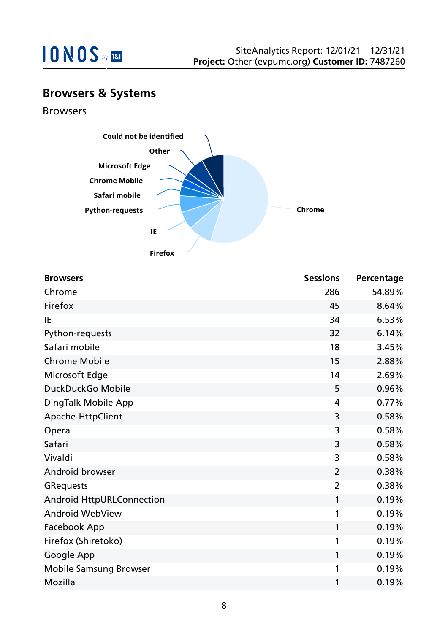

## **Browsers & Systems**

Browsers



| <b>Browsers</b>                  | <b>Sessions</b> | Percentage |
|----------------------------------|-----------------|------------|
| Chrome                           | 286             | 54.89%     |
| Firefox                          | 45              | 8.64%      |
| IE                               | 34              | 6.53%      |
| Python-requests                  | 32              | 6.14%      |
| Safari mobile                    | 18              | 3.45%      |
| <b>Chrome Mobile</b>             | 15              | 2.88%      |
| Microsoft Edge                   | 14              | 2.69%      |
| DuckDuckGo Mobile                | 5               | 0.96%      |
| DingTalk Mobile App              | 4               | 0.77%      |
| Apache-HttpClient                | 3               | 0.58%      |
| Opera                            | 3               | 0.58%      |
| Safari                           | 3               | 0.58%      |
| Vivaldi                          | 3               | 0.58%      |
| Android browser                  | $\overline{2}$  | 0.38%      |
| <b>GRequests</b>                 | $\overline{2}$  | 0.38%      |
| <b>Android HttpURLConnection</b> | 1               | 0.19%      |
| <b>Android WebView</b>           | 1               | 0.19%      |
| Facebook App                     | 1               | 0.19%      |
| Firefox (Shiretoko)              | 1               | 0.19%      |
| Google App                       | $\mathbf{1}$    | 0.19%      |
| <b>Mobile Samsung Browser</b>    | 1               | 0.19%      |
| Mozilla                          | 1               | 0.19%      |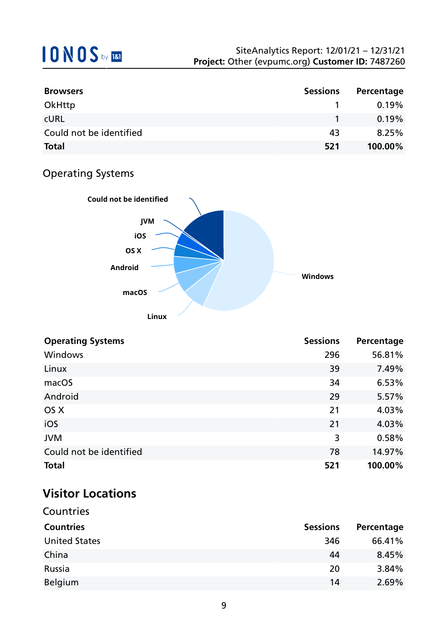| <b>Browsers</b>         | <b>Sessions</b> | Percentage |
|-------------------------|-----------------|------------|
| OkHttp                  |                 | 0.19%      |
| <b>CURL</b>             |                 | 0.19%      |
| Could not be identified | 43              | 8.25%      |
| <b>Total</b>            | 521             | 100.00%    |

## Operating Systems



| <b>Operating Systems</b> | <b>Sessions</b> | Percentage |
|--------------------------|-----------------|------------|
| <b>Windows</b>           | 296             | 56.81%     |
| Linux                    | 39              | 7.49%      |
| macOS                    | 34              | 6.53%      |
| Android                  | 29              | 5.57%      |
| OS X                     | 21              | 4.03%      |
| iOS                      | 21              | 4.03%      |
| <b>JVM</b>               | 3               | 0.58%      |
| Could not be identified  | 78              | 14.97%     |
| <b>Total</b>             | 521             | 100.00%    |

## **Visitor Locations**

| Countries            |                 |            |
|----------------------|-----------------|------------|
| <b>Countries</b>     | <b>Sessions</b> | Percentage |
| <b>United States</b> | 346             | 66.41%     |
| China                | 44              | 8.45%      |
| Russia               | 20              | 3.84%      |
| <b>Belgium</b>       | 14              | 2.69%      |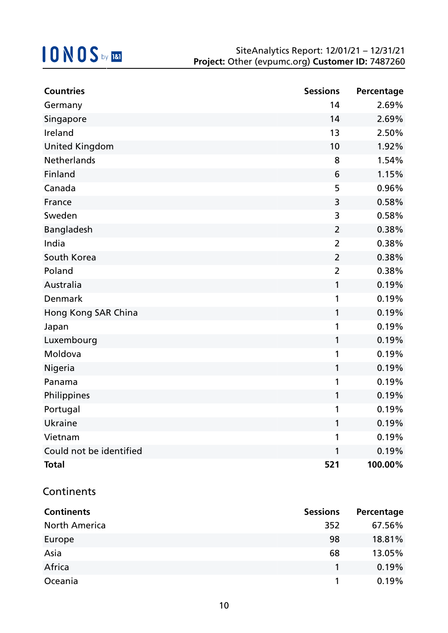| <b>Countries</b>        | <b>Sessions</b> | Percentage |
|-------------------------|-----------------|------------|
| Germany                 | 14              | 2.69%      |
| Singapore               | 14              | 2.69%      |
| Ireland                 | 13              | 2.50%      |
| <b>United Kingdom</b>   | 10              | 1.92%      |
| <b>Netherlands</b>      | 8               | 1.54%      |
| Finland                 | 6               | 1.15%      |
| Canada                  | 5               | 0.96%      |
| France                  | $\mathsf{3}$    | 0.58%      |
| Sweden                  | 3               | 0.58%      |
| Bangladesh              | $\overline{2}$  | 0.38%      |
| India                   | $\overline{2}$  | 0.38%      |
| South Korea             | $\overline{2}$  | 0.38%      |
| Poland                  | $\overline{2}$  | 0.38%      |
| Australia               | 1               | 0.19%      |
| Denmark                 | 1               | 0.19%      |
| Hong Kong SAR China     | 1               | 0.19%      |
| Japan                   | 1               | 0.19%      |
| Luxembourg              | 1               | 0.19%      |
| Moldova                 | 1               | 0.19%      |
| Nigeria                 | 1               | 0.19%      |
| Panama                  | 1               | 0.19%      |
| Philippines             | 1               | 0.19%      |
| Portugal                | 1               | 0.19%      |
| Ukraine                 | 1               | 0.19%      |
| Vietnam                 | 1               | 0.19%      |
| Could not be identified | 1               | 0.19%      |
| <b>Total</b>            | 521             | 100.00%    |

### **Continents**

| <b>Continents</b>    | <b>Sessions</b> | Percentage |
|----------------------|-----------------|------------|
| <b>North America</b> | 352             | 67.56%     |
| Europe               | 98              | 18.81%     |
| Asia                 | 68              | 13.05%     |
| Africa               |                 | 0.19%      |
| Oceania              |                 | 0.19%      |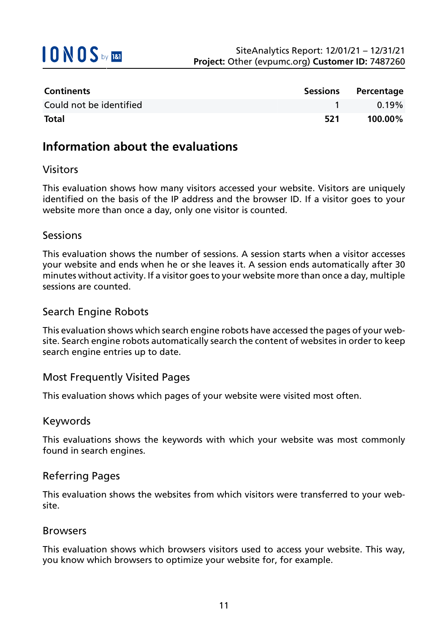

| <b>Continents</b>       | <b>Sessions</b> | Percentage |
|-------------------------|-----------------|------------|
| Could not be identified |                 | $0.19\%$   |
| <b>Total</b>            | 521             | 100.00%    |

### **Information about the evaluations**

### Visitors

This evaluation shows how many visitors accessed your website. Visitors are uniquely identified on the basis of the IP address and the browser ID. If a visitor goes to your website more than once a day, only one visitor is counted.

#### Sessions

This evaluation shows the number of sessions. A session starts when a visitor accesses your website and ends when he or she leaves it. A session ends automatically after 30 minutes without activity. If a visitor goes to your website more than once a day, multiple sessions are counted.

### Search Engine Robots

This evaluation shows which search engine robots have accessed the pages of your website. Search engine robots automatically search the content of websites in order to keep search engine entries up to date.

### Most Frequently Visited Pages

This evaluation shows which pages of your website were visited most often.

#### Keywords

This evaluations shows the keywords with which your website was most commonly found in search engines.

### Referring Pages

This evaluation shows the websites from which visitors were transferred to your website.

#### Browsers

This evaluation shows which browsers visitors used to access your website. This way, you know which browsers to optimize your website for, for example.